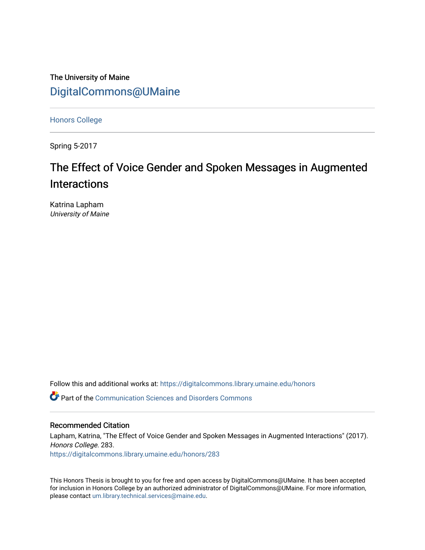The University of Maine [DigitalCommons@UMaine](https://digitalcommons.library.umaine.edu/)

[Honors College](https://digitalcommons.library.umaine.edu/honors)

Spring 5-2017

# The Effect of Voice Gender and Spoken Messages in Augmented Interactions

Katrina Lapham University of Maine

Follow this and additional works at: [https://digitalcommons.library.umaine.edu/honors](https://digitalcommons.library.umaine.edu/honors?utm_source=digitalcommons.library.umaine.edu%2Fhonors%2F283&utm_medium=PDF&utm_campaign=PDFCoverPages) 

**P** Part of the [Communication Sciences and Disorders Commons](http://network.bepress.com/hgg/discipline/1019?utm_source=digitalcommons.library.umaine.edu%2Fhonors%2F283&utm_medium=PDF&utm_campaign=PDFCoverPages)

#### Recommended Citation

Lapham, Katrina, "The Effect of Voice Gender and Spoken Messages in Augmented Interactions" (2017). Honors College. 283.

[https://digitalcommons.library.umaine.edu/honors/283](https://digitalcommons.library.umaine.edu/honors/283?utm_source=digitalcommons.library.umaine.edu%2Fhonors%2F283&utm_medium=PDF&utm_campaign=PDFCoverPages) 

This Honors Thesis is brought to you for free and open access by DigitalCommons@UMaine. It has been accepted for inclusion in Honors College by an authorized administrator of DigitalCommons@UMaine. For more information, please contact [um.library.technical.services@maine.edu.](mailto:um.library.technical.services@maine.edu)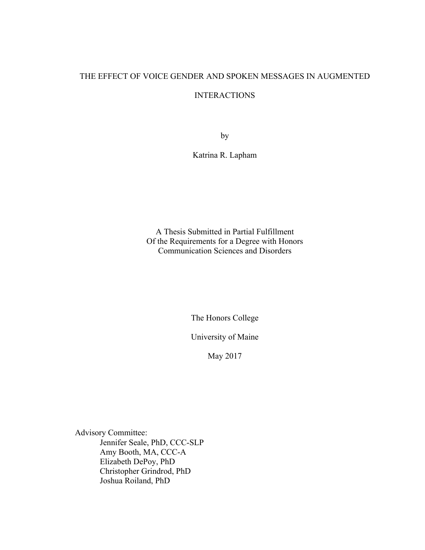## THE EFFECT OF VOICE GENDER AND SPOKEN MESSAGES IN AUGMENTED

## INTERACTIONS

by

Katrina R. Lapham

A Thesis Submitted in Partial Fulfillment Of the Requirements for a Degree with Honors Communication Sciences and Disorders

The Honors College

University of Maine

May 2017

Advisory Committee: Jennifer Seale, PhD, CCC-SLP Amy Booth, MA, CCC-A Elizabeth DePoy, PhD Christopher Grindrod, PhD Joshua Roiland, PhD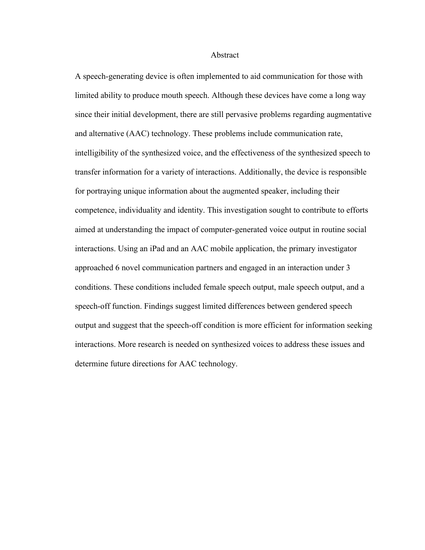#### Abstract

A speech-generating device is often implemented to aid communication for those with limited ability to produce mouth speech. Although these devices have come a long way since their initial development, there are still pervasive problems regarding augmentative and alternative (AAC) technology. These problems include communication rate, intelligibility of the synthesized voice, and the effectiveness of the synthesized speech to transfer information for a variety of interactions. Additionally, the device is responsible for portraying unique information about the augmented speaker, including their competence, individuality and identity. This investigation sought to contribute to efforts aimed at understanding the impact of computer-generated voice output in routine social interactions. Using an iPad and an AAC mobile application, the primary investigator approached 6 novel communication partners and engaged in an interaction under 3 conditions. These conditions included female speech output, male speech output, and a speech-off function. Findings suggest limited differences between gendered speech output and suggest that the speech-off condition is more efficient for information seeking interactions. More research is needed on synthesized voices to address these issues and determine future directions for AAC technology.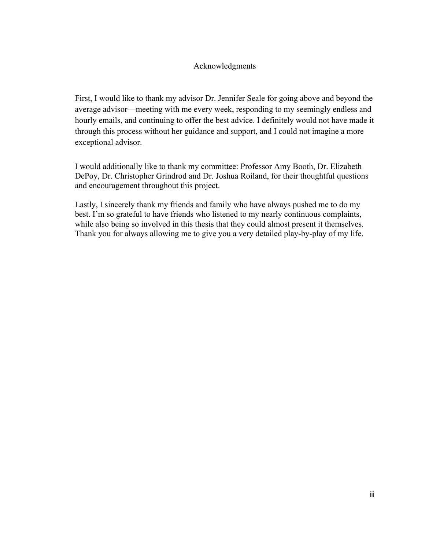## Acknowledgments

First, I would like to thank my advisor Dr. Jennifer Seale for going above and beyond the average advisor—meeting with me every week, responding to my seemingly endless and hourly emails, and continuing to offer the best advice. I definitely would not have made it through this process without her guidance and support, and I could not imagine a more exceptional advisor.

I would additionally like to thank my committee: Professor Amy Booth, Dr. Elizabeth DePoy, Dr. Christopher Grindrod and Dr. Joshua Roiland, for their thoughtful questions and encouragement throughout this project.

Lastly, I sincerely thank my friends and family who have always pushed me to do my best. I'm so grateful to have friends who listened to my nearly continuous complaints, while also being so involved in this thesis that they could almost present it themselves. Thank you for always allowing me to give you a very detailed play-by-play of my life.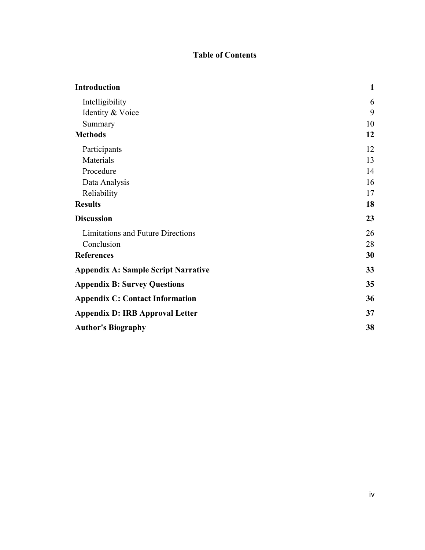## **Table of Contents**

| <b>Introduction</b>                        | $\mathbf{1}$ |
|--------------------------------------------|--------------|
| Intelligibility                            | 6            |
| Identity & Voice                           | 9            |
| Summary                                    | 10           |
| <b>Methods</b>                             | 12           |
| Participants                               | 12           |
| Materials                                  | 13           |
| Procedure                                  | 14           |
| Data Analysis                              | 16           |
| Reliability                                | 17           |
| <b>Results</b>                             | 18           |
| <b>Discussion</b>                          | 23           |
| Limitations and Future Directions          | 26           |
| Conclusion                                 | 28           |
| <b>References</b>                          | 30           |
| <b>Appendix A: Sample Script Narrative</b> | 33           |
| <b>Appendix B: Survey Questions</b>        | 35           |
| <b>Appendix C: Contact Information</b>     | 36           |
| <b>Appendix D: IRB Approval Letter</b>     | 37           |
| <b>Author's Biography</b>                  | 38           |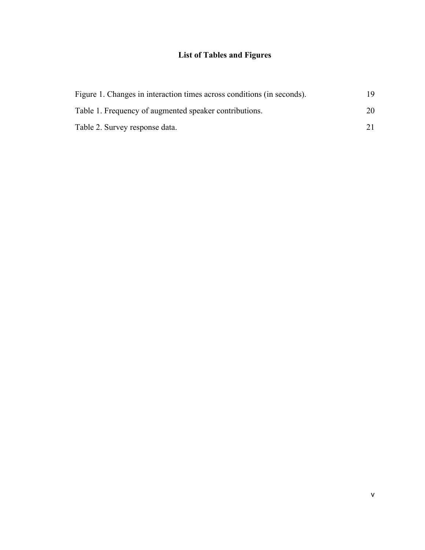# **List of Tables and Figures**

| Figure 1. Changes in interaction times across conditions (in seconds). |    |
|------------------------------------------------------------------------|----|
| Table 1. Frequency of augmented speaker contributions.                 | 20 |
| Table 2. Survey response data.                                         |    |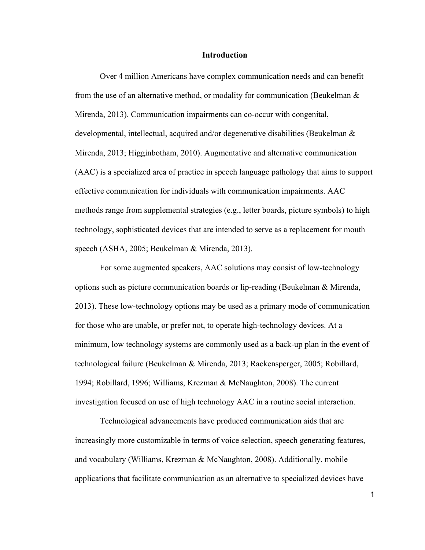#### **Introduction**

Over 4 million Americans have complex communication needs and can benefit from the use of an alternative method, or modality for communication (Beukelman & Mirenda, 2013). Communication impairments can co-occur with congenital, developmental, intellectual, acquired and/or degenerative disabilities (Beukelman & Mirenda, 2013; Higginbotham, 2010). Augmentative and alternative communication (AAC) is a specialized area of practice in speech language pathology that aims to support effective communication for individuals with communication impairments. AAC methods range from supplemental strategies (e.g., letter boards, picture symbols) to high technology, sophisticated devices that are intended to serve as a replacement for mouth speech (ASHA, 2005; Beukelman & Mirenda, 2013).

For some augmented speakers, AAC solutions may consist of low-technology options such as picture communication boards or lip-reading (Beukelman & Mirenda, 2013). These low-technology options may be used as a primary mode of communication for those who are unable, or prefer not, to operate high-technology devices. At a minimum, low technology systems are commonly used as a back-up plan in the event of technological failure (Beukelman & Mirenda, 2013; Rackensperger, 2005; Robillard, 1994; Robillard, 1996; Williams, Krezman & McNaughton, 2008). The current investigation focused on use of high technology AAC in a routine social interaction.

Technological advancements have produced communication aids that are increasingly more customizable in terms of voice selection, speech generating features, and vocabulary (Williams, Krezman & McNaughton, 2008). Additionally, mobile applications that facilitate communication as an alternative to specialized devices have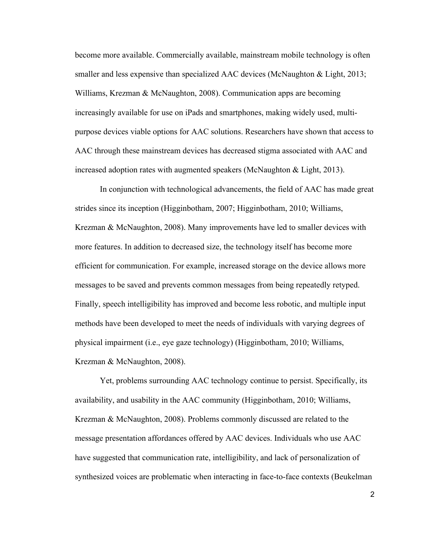become more available. Commercially available, mainstream mobile technology is often smaller and less expensive than specialized AAC devices (McNaughton & Light, 2013; Williams, Krezman & McNaughton, 2008). Communication apps are becoming increasingly available for use on iPads and smartphones, making widely used, multipurpose devices viable options for AAC solutions. Researchers have shown that access to AAC through these mainstream devices has decreased stigma associated with AAC and increased adoption rates with augmented speakers (McNaughton & Light, 2013).

In conjunction with technological advancements, the field of AAC has made great strides since its inception (Higginbotham, 2007; Higginbotham, 2010; Williams, Krezman & McNaughton, 2008). Many improvements have led to smaller devices with more features. In addition to decreased size, the technology itself has become more efficient for communication. For example, increased storage on the device allows more messages to be saved and prevents common messages from being repeatedly retyped. Finally, speech intelligibility has improved and become less robotic, and multiple input methods have been developed to meet the needs of individuals with varying degrees of physical impairment (i.e., eye gaze technology) (Higginbotham, 2010; Williams, Krezman & McNaughton, 2008).

Yet, problems surrounding AAC technology continue to persist. Specifically, its availability, and usability in the AAC community (Higginbotham, 2010; Williams, Krezman & McNaughton, 2008). Problems commonly discussed are related to the message presentation affordances offered by AAC devices. Individuals who use AAC have suggested that communication rate, intelligibility, and lack of personalization of synthesized voices are problematic when interacting in face-to-face contexts (Beukelman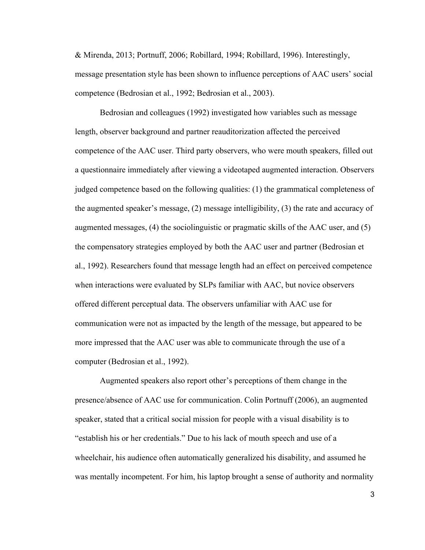& Mirenda, 2013; Portnuff, 2006; Robillard, 1994; Robillard, 1996). Interestingly, message presentation style has been shown to influence perceptions of AAC users' social competence (Bedrosian et al., 1992; Bedrosian et al., 2003).

Bedrosian and colleagues (1992) investigated how variables such as message length, observer background and partner reauditorization affected the perceived competence of the AAC user. Third party observers, who were mouth speakers, filled out a questionnaire immediately after viewing a videotaped augmented interaction. Observers judged competence based on the following qualities: (1) the grammatical completeness of the augmented speaker's message, (2) message intelligibility, (3) the rate and accuracy of augmented messages, (4) the sociolinguistic or pragmatic skills of the AAC user, and (5) the compensatory strategies employed by both the AAC user and partner (Bedrosian et al., 1992). Researchers found that message length had an effect on perceived competence when interactions were evaluated by SLPs familiar with AAC, but novice observers offered different perceptual data. The observers unfamiliar with AAC use for communication were not as impacted by the length of the message, but appeared to be more impressed that the AAC user was able to communicate through the use of a computer (Bedrosian et al., 1992).

Augmented speakers also report other's perceptions of them change in the presence/absence of AAC use for communication. Colin Portnuff (2006), an augmented speaker, stated that a critical social mission for people with a visual disability is to "establish his or her credentials." Due to his lack of mouth speech and use of a wheelchair, his audience often automatically generalized his disability, and assumed he was mentally incompetent. For him, his laptop brought a sense of authority and normality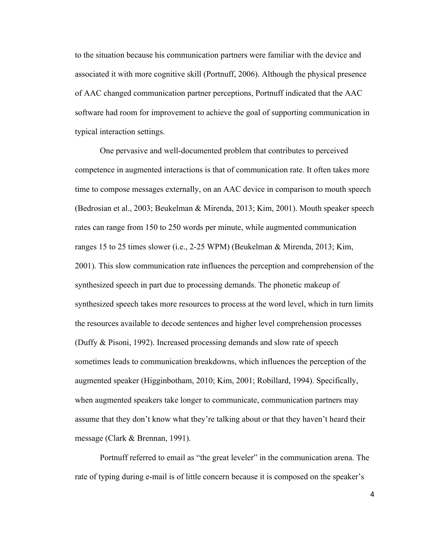to the situation because his communication partners were familiar with the device and associated it with more cognitive skill (Portnuff, 2006). Although the physical presence of AAC changed communication partner perceptions, Portnuff indicated that the AAC software had room for improvement to achieve the goal of supporting communication in typical interaction settings.

One pervasive and well-documented problem that contributes to perceived competence in augmented interactions is that of communication rate. It often takes more time to compose messages externally, on an AAC device in comparison to mouth speech (Bedrosian et al., 2003; Beukelman & Mirenda, 2013; Kim, 2001). Mouth speaker speech rates can range from 150 to 250 words per minute, while augmented communication ranges 15 to 25 times slower (i.e., 2-25 WPM) (Beukelman & Mirenda, 2013; Kim, 2001). This slow communication rate influences the perception and comprehension of the synthesized speech in part due to processing demands. The phonetic makeup of synthesized speech takes more resources to process at the word level, which in turn limits the resources available to decode sentences and higher level comprehension processes (Duffy & Pisoni, 1992). Increased processing demands and slow rate of speech sometimes leads to communication breakdowns, which influences the perception of the augmented speaker (Higginbotham, 2010; Kim, 2001; Robillard, 1994). Specifically, when augmented speakers take longer to communicate, communication partners may assume that they don't know what they're talking about or that they haven't heard their message (Clark & Brennan, 1991).

Portnuff referred to email as "the great leveler" in the communication arena. The rate of typing during e-mail is of little concern because it is composed on the speaker's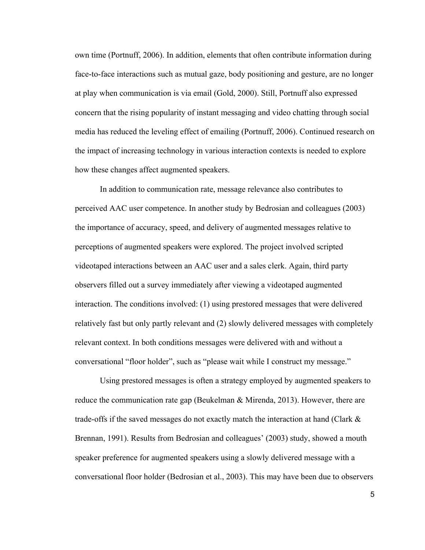own time (Portnuff, 2006). In addition, elements that often contribute information during face-to-face interactions such as mutual gaze, body positioning and gesture, are no longer at play when communication is via email (Gold, 2000). Still, Portnuff also expressed concern that the rising popularity of instant messaging and video chatting through social media has reduced the leveling effect of emailing (Portnuff, 2006). Continued research on the impact of increasing technology in various interaction contexts is needed to explore how these changes affect augmented speakers.

In addition to communication rate, message relevance also contributes to perceived AAC user competence. In another study by Bedrosian and colleagues (2003) the importance of accuracy, speed, and delivery of augmented messages relative to perceptions of augmented speakers were explored. The project involved scripted videotaped interactions between an AAC user and a sales clerk. Again, third party observers filled out a survey immediately after viewing a videotaped augmented interaction. The conditions involved: (1) using prestored messages that were delivered relatively fast but only partly relevant and (2) slowly delivered messages with completely relevant context. In both conditions messages were delivered with and without a conversational "floor holder", such as "please wait while I construct my message."

Using prestored messages is often a strategy employed by augmented speakers to reduce the communication rate gap (Beukelman & Mirenda, 2013). However, there are trade-offs if the saved messages do not exactly match the interaction at hand (Clark  $\&$ Brennan, 1991). Results from Bedrosian and colleagues' (2003) study, showed a mouth speaker preference for augmented speakers using a slowly delivered message with a conversational floor holder (Bedrosian et al., 2003). This may have been due to observers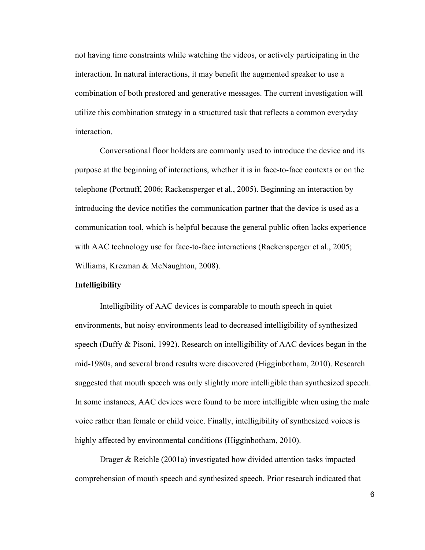not having time constraints while watching the videos, or actively participating in the interaction. In natural interactions, it may benefit the augmented speaker to use a combination of both prestored and generative messages. The current investigation will utilize this combination strategy in a structured task that reflects a common everyday interaction.

Conversational floor holders are commonly used to introduce the device and its purpose at the beginning of interactions, whether it is in face-to-face contexts or on the telephone (Portnuff, 2006; Rackensperger et al., 2005). Beginning an interaction by introducing the device notifies the communication partner that the device is used as a communication tool, which is helpful because the general public often lacks experience with AAC technology use for face-to-face interactions (Rackensperger et al., 2005; Williams, Krezman & McNaughton, 2008).

#### **Intelligibility**

Intelligibility of AAC devices is comparable to mouth speech in quiet environments, but noisy environments lead to decreased intelligibility of synthesized speech (Duffy & Pisoni, 1992). Research on intelligibility of AAC devices began in the mid-1980s, and several broad results were discovered (Higginbotham, 2010). Research suggested that mouth speech was only slightly more intelligible than synthesized speech. In some instances, AAC devices were found to be more intelligible when using the male voice rather than female or child voice. Finally, intelligibility of synthesized voices is highly affected by environmental conditions (Higginbotham, 2010).

Drager & Reichle (2001a) investigated how divided attention tasks impacted comprehension of mouth speech and synthesized speech. Prior research indicated that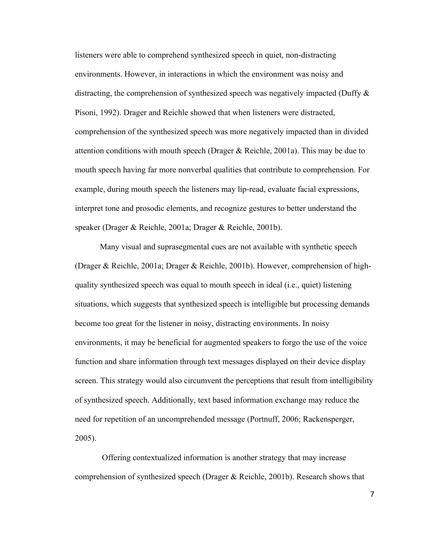listeners were able to comprehend synthesized speech in quiet, non-distracting environments. However, in interactions in which the environment was noisy and distracting, the comprehension of synthesized speech was negatively impacted (Duffy & Pisoni, 1992). Drager and Reichle showed that when listeners were distracted, comprehension of the synthesized speech was more negatively impacted than in divided attention conditions with mouth speech (Drager & Reichle, 2001a). This may be due to mouth speech having far more nonverbal qualities that contribute to comprehension. For example, during mouth speech the listeners may lip-read, evaluate facial expressions, interpret tone and prosodic elements, and recognize gestures to better understand the speaker (Drager & Reichle, 2001a; Drager & Reichle, 2001b).

Many visual and suprasegmental cues are not available with synthetic speech (Drager & Reichle, 2001a; Drager & Reichle, 2001b). However, comprehension of highquality synthesized speech was equal to mouth speech in ideal (i.e., quiet) listening situations, which suggests that synthesized speech is intelligible but processing demands become too great for the listener in noisy, distracting environments. In noisy environments, it may be beneficial for augmented speakers to forgo the use of the voice function and share information through text messages displayed on their device display screen. This strategy would also circumvent the perceptions that result from intelligibility of synthesized speech. Additionally, text based information exchange may reduce the need for repetition of an uncomprehended message (Portnuff, 2006; Rackensperger, 2005).

Offering contextualized information is another strategy that may increase comprehension of synthesized speech (Drager & Reichle, 2001b). Research shows that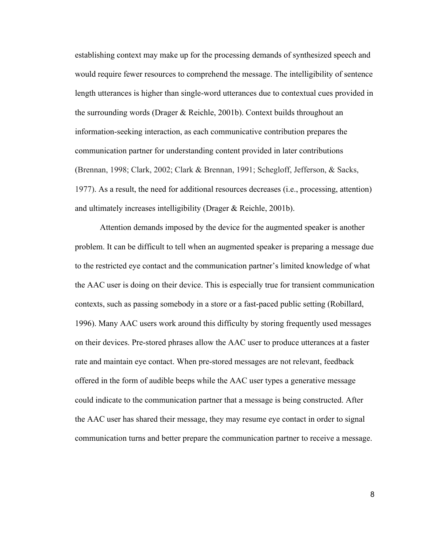establishing context may make up for the processing demands of synthesized speech and would require fewer resources to comprehend the message. The intelligibility of sentence length utterances is higher than single-word utterances due to contextual cues provided in the surrounding words (Drager & Reichle, 2001b). Context builds throughout an information-seeking interaction, as each communicative contribution prepares the communication partner for understanding content provided in later contributions (Brennan, 1998; Clark, 2002; Clark & Brennan, 1991; Schegloff, Jefferson, & Sacks, 1977). As a result, the need for additional resources decreases (i.e., processing, attention) and ultimately increases intelligibility (Drager & Reichle, 2001b).

Attention demands imposed by the device for the augmented speaker is another problem. It can be difficult to tell when an augmented speaker is preparing a message due to the restricted eye contact and the communication partner's limited knowledge of what the AAC user is doing on their device. This is especially true for transient communication contexts, such as passing somebody in a store or a fast-paced public setting (Robillard, 1996). Many AAC users work around this difficulty by storing frequently used messages on their devices. Pre-stored phrases allow the AAC user to produce utterances at a faster rate and maintain eye contact. When pre-stored messages are not relevant, feedback offered in the form of audible beeps while the AAC user types a generative message could indicate to the communication partner that a message is being constructed. After the AAC user has shared their message, they may resume eye contact in order to signal communication turns and better prepare the communication partner to receive a message.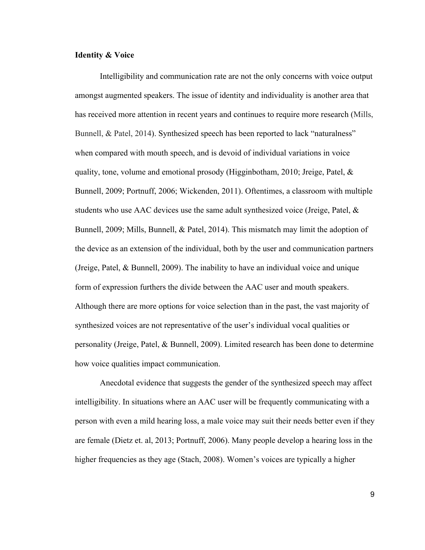#### **Identity & Voice**

Intelligibility and communication rate are not the only concerns with voice output amongst augmented speakers. The issue of identity and individuality is another area that has received more attention in recent years and continues to require more research (Mills, Bunnell, & Patel, 2014). Synthesized speech has been reported to lack "naturalness" when compared with mouth speech, and is devoid of individual variations in voice quality, tone, volume and emotional prosody (Higginbotham, 2010; Jreige, Patel, & Bunnell, 2009; Portnuff, 2006; Wickenden, 2011). Oftentimes, a classroom with multiple students who use AAC devices use the same adult synthesized voice (Jreige, Patel, & Bunnell, 2009; Mills, Bunnell, & Patel, 2014). This mismatch may limit the adoption of the device as an extension of the individual, both by the user and communication partners (Jreige, Patel, & Bunnell, 2009). The inability to have an individual voice and unique form of expression furthers the divide between the AAC user and mouth speakers. Although there are more options for voice selection than in the past, the vast majority of synthesized voices are not representative of the user's individual vocal qualities or personality (Jreige, Patel, & Bunnell, 2009). Limited research has been done to determine how voice qualities impact communication.

Anecdotal evidence that suggests the gender of the synthesized speech may affect intelligibility. In situations where an AAC user will be frequently communicating with a person with even a mild hearing loss, a male voice may suit their needs better even if they are female (Dietz et. al, 2013; Portnuff, 2006). Many people develop a hearing loss in the higher frequencies as they age (Stach, 2008). Women's voices are typically a higher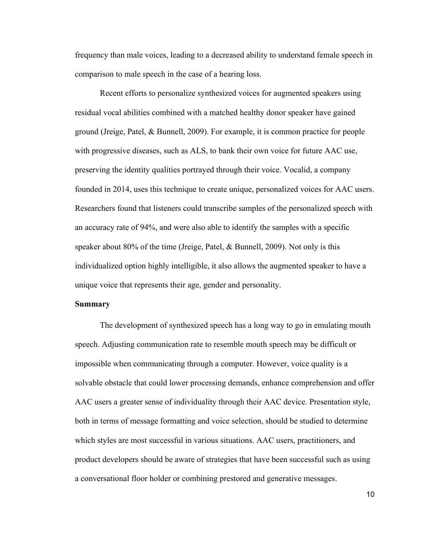frequency than male voices, leading to a decreased ability to understand female speech in comparison to male speech in the case of a hearing loss.

Recent efforts to personalize synthesized voices for augmented speakers using residual vocal abilities combined with a matched healthy donor speaker have gained ground (Jreige, Patel, & Bunnell, 2009). For example, it is common practice for people with progressive diseases, such as ALS, to bank their own voice for future AAC use, preserving the identity qualities portrayed through their voice. Vocalid, a company founded in 2014, uses this technique to create unique, personalized voices for AAC users. Researchers found that listeners could transcribe samples of the personalized speech with an accuracy rate of 94%, and were also able to identify the samples with a specific speaker about 80% of the time (Jreige, Patel, & Bunnell, 2009). Not only is this individualized option highly intelligible, it also allows the augmented speaker to have a unique voice that represents their age, gender and personality.

#### **Summary**

The development of synthesized speech has a long way to go in emulating mouth speech. Adjusting communication rate to resemble mouth speech may be difficult or impossible when communicating through a computer. However, voice quality is a solvable obstacle that could lower processing demands, enhance comprehension and offer AAC users a greater sense of individuality through their AAC device. Presentation style, both in terms of message formatting and voice selection, should be studied to determine which styles are most successful in various situations. AAC users, practitioners, and product developers should be aware of strategies that have been successful such as using a conversational floor holder or combining prestored and generative messages.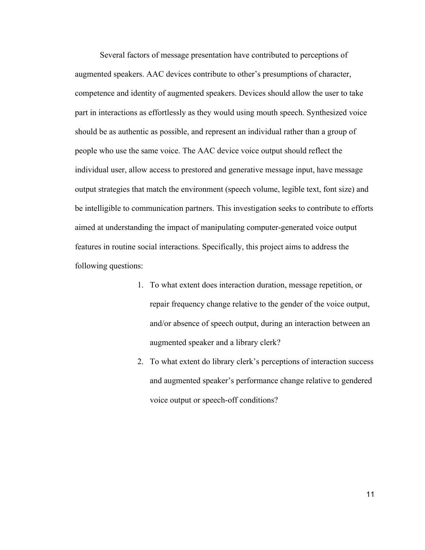Several factors of message presentation have contributed to perceptions of augmented speakers. AAC devices contribute to other's presumptions of character, competence and identity of augmented speakers. Devices should allow the user to take part in interactions as effortlessly as they would using mouth speech. Synthesized voice should be as authentic as possible, and represent an individual rather than a group of people who use the same voice. The AAC device voice output should reflect the individual user, allow access to prestored and generative message input, have message output strategies that match the environment (speech volume, legible text, font size) and be intelligible to communication partners. This investigation seeks to contribute to efforts aimed at understanding the impact of manipulating computer-generated voice output features in routine social interactions. Specifically, this project aims to address the following questions:

- 1. To what extent does interaction duration, message repetition, or repair frequency change relative to the gender of the voice output, and/or absence of speech output, during an interaction between an augmented speaker and a library clerk?
- 2. To what extent do library clerk's perceptions of interaction success and augmented speaker's performance change relative to gendered voice output or speech-off conditions?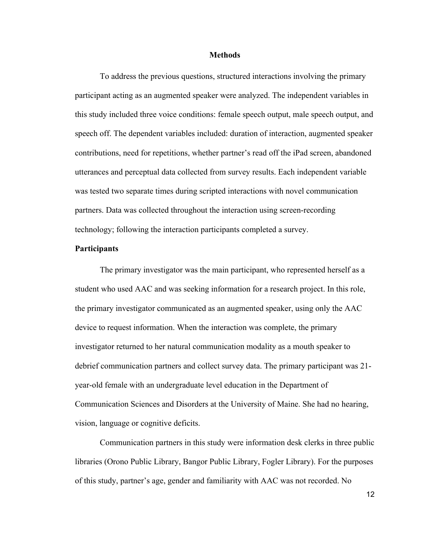#### **Methods**

To address the previous questions, structured interactions involving the primary participant acting as an augmented speaker were analyzed. The independent variables in this study included three voice conditions: female speech output, male speech output, and speech off. The dependent variables included: duration of interaction, augmented speaker contributions, need for repetitions, whether partner's read off the iPad screen, abandoned utterances and perceptual data collected from survey results. Each independent variable was tested two separate times during scripted interactions with novel communication partners. Data was collected throughout the interaction using screen-recording technology; following the interaction participants completed a survey.

#### **Participants**

The primary investigator was the main participant, who represented herself as a student who used AAC and was seeking information for a research project. In this role, the primary investigator communicated as an augmented speaker, using only the AAC device to request information. When the interaction was complete, the primary investigator returned to her natural communication modality as a mouth speaker to debrief communication partners and collect survey data. The primary participant was 21 year-old female with an undergraduate level education in the Department of Communication Sciences and Disorders at the University of Maine. She had no hearing, vision, language or cognitive deficits.

Communication partners in this study were information desk clerks in three public libraries (Orono Public Library, Bangor Public Library, Fogler Library). For the purposes of this study, partner's age, gender and familiarity with AAC was not recorded. No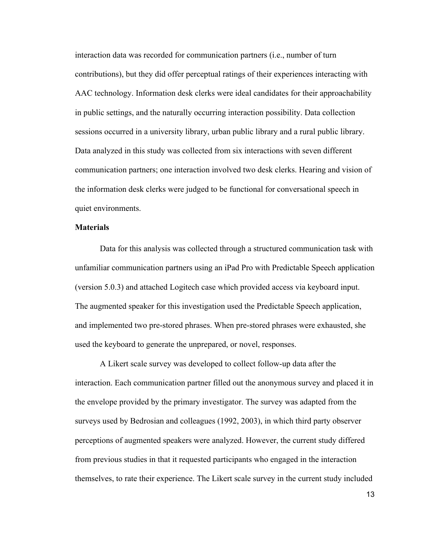interaction data was recorded for communication partners (i.e., number of turn contributions), but they did offer perceptual ratings of their experiences interacting with AAC technology. Information desk clerks were ideal candidates for their approachability in public settings, and the naturally occurring interaction possibility. Data collection sessions occurred in a university library, urban public library and a rural public library. Data analyzed in this study was collected from six interactions with seven different communication partners; one interaction involved two desk clerks. Hearing and vision of the information desk clerks were judged to be functional for conversational speech in quiet environments.

### **Materials**

Data for this analysis was collected through a structured communication task with unfamiliar communication partners using an iPad Pro with Predictable Speech application (version 5.0.3) and attached Logitech case which provided access via keyboard input. The augmented speaker for this investigation used the Predictable Speech application, and implemented two pre-stored phrases. When pre-stored phrases were exhausted, she used the keyboard to generate the unprepared, or novel, responses.

A Likert scale survey was developed to collect follow-up data after the interaction. Each communication partner filled out the anonymous survey and placed it in the envelope provided by the primary investigator. The survey was adapted from the surveys used by Bedrosian and colleagues (1992, 2003), in which third party observer perceptions of augmented speakers were analyzed. However, the current study differed from previous studies in that it requested participants who engaged in the interaction themselves, to rate their experience. The Likert scale survey in the current study included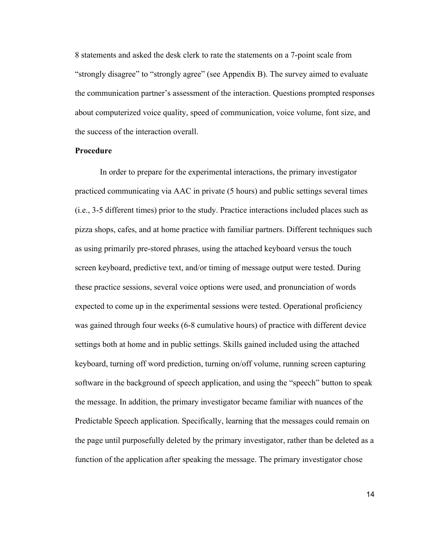8 statements and asked the desk clerk to rate the statements on a 7-point scale from "strongly disagree" to "strongly agree" (see Appendix B). The survey aimed to evaluate the communication partner's assessment of the interaction. Questions prompted responses about computerized voice quality, speed of communication, voice volume, font size, and the success of the interaction overall.

#### **Procedure**

In order to prepare for the experimental interactions, the primary investigator practiced communicating via AAC in private (5 hours) and public settings several times (i.e., 3-5 different times) prior to the study. Practice interactions included places such as pizza shops, cafes, and at home practice with familiar partners. Different techniques such as using primarily pre-stored phrases, using the attached keyboard versus the touch screen keyboard, predictive text, and/or timing of message output were tested. During these practice sessions, several voice options were used, and pronunciation of words expected to come up in the experimental sessions were tested. Operational proficiency was gained through four weeks (6-8 cumulative hours) of practice with different device settings both at home and in public settings. Skills gained included using the attached keyboard, turning off word prediction, turning on/off volume, running screen capturing software in the background of speech application, and using the "speech" button to speak the message. In addition, the primary investigator became familiar with nuances of the Predictable Speech application. Specifically, learning that the messages could remain on the page until purposefully deleted by the primary investigator, rather than be deleted as a function of the application after speaking the message. The primary investigator chose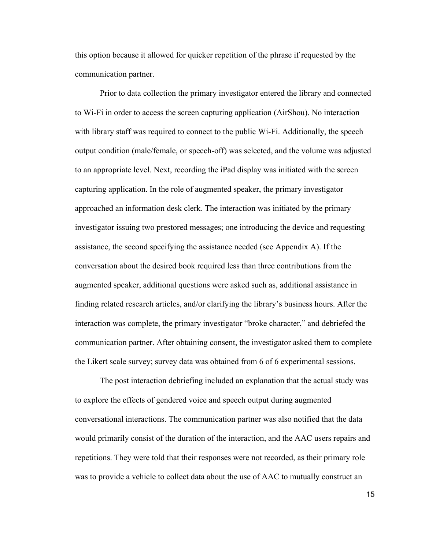this option because it allowed for quicker repetition of the phrase if requested by the communication partner.

Prior to data collection the primary investigator entered the library and connected to Wi-Fi in order to access the screen capturing application (AirShou). No interaction with library staff was required to connect to the public Wi-Fi. Additionally, the speech output condition (male/female, or speech-off) was selected, and the volume was adjusted to an appropriate level. Next, recording the iPad display was initiated with the screen capturing application. In the role of augmented speaker, the primary investigator approached an information desk clerk. The interaction was initiated by the primary investigator issuing two prestored messages; one introducing the device and requesting assistance, the second specifying the assistance needed (see Appendix A). If the conversation about the desired book required less than three contributions from the augmented speaker, additional questions were asked such as, additional assistance in finding related research articles, and/or clarifying the library's business hours. After the interaction was complete, the primary investigator "broke character," and debriefed the communication partner. After obtaining consent, the investigator asked them to complete the Likert scale survey; survey data was obtained from 6 of 6 experimental sessions.

The post interaction debriefing included an explanation that the actual study was to explore the effects of gendered voice and speech output during augmented conversational interactions. The communication partner was also notified that the data would primarily consist of the duration of the interaction, and the AAC users repairs and repetitions. They were told that their responses were not recorded, as their primary role was to provide a vehicle to collect data about the use of AAC to mutually construct an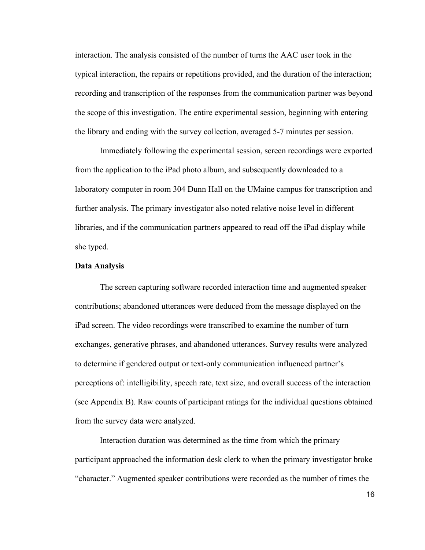interaction. The analysis consisted of the number of turns the AAC user took in the typical interaction, the repairs or repetitions provided, and the duration of the interaction; recording and transcription of the responses from the communication partner was beyond the scope of this investigation. The entire experimental session, beginning with entering the library and ending with the survey collection, averaged 5-7 minutes per session.

Immediately following the experimental session, screen recordings were exported from the application to the iPad photo album, and subsequently downloaded to a laboratory computer in room 304 Dunn Hall on the UMaine campus for transcription and further analysis. The primary investigator also noted relative noise level in different libraries, and if the communication partners appeared to read off the iPad display while she typed.

#### **Data Analysis**

The screen capturing software recorded interaction time and augmented speaker contributions; abandoned utterances were deduced from the message displayed on the iPad screen. The video recordings were transcribed to examine the number of turn exchanges, generative phrases, and abandoned utterances. Survey results were analyzed to determine if gendered output or text-only communication influenced partner's perceptions of: intelligibility, speech rate, text size, and overall success of the interaction (see Appendix B). Raw counts of participant ratings for the individual questions obtained from the survey data were analyzed.

Interaction duration was determined as the time from which the primary participant approached the information desk clerk to when the primary investigator broke "character." Augmented speaker contributions were recorded as the number of times the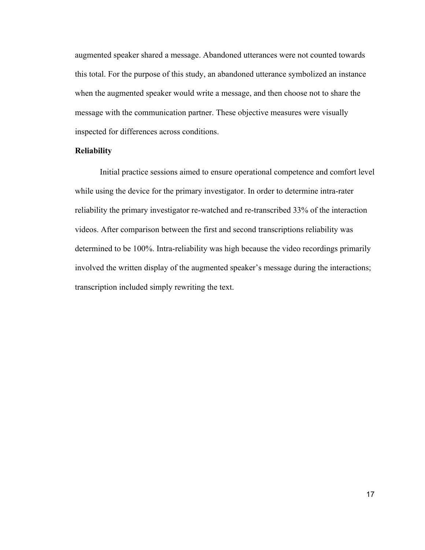augmented speaker shared a message. Abandoned utterances were not counted towards this total. For the purpose of this study, an abandoned utterance symbolized an instance when the augmented speaker would write a message, and then choose not to share the message with the communication partner. These objective measures were visually inspected for differences across conditions.

#### **Reliability**

Initial practice sessions aimed to ensure operational competence and comfort level while using the device for the primary investigator. In order to determine intra-rater reliability the primary investigator re-watched and re-transcribed 33% of the interaction videos. After comparison between the first and second transcriptions reliability was determined to be 100%. Intra-reliability was high because the video recordings primarily involved the written display of the augmented speaker's message during the interactions; transcription included simply rewriting the text.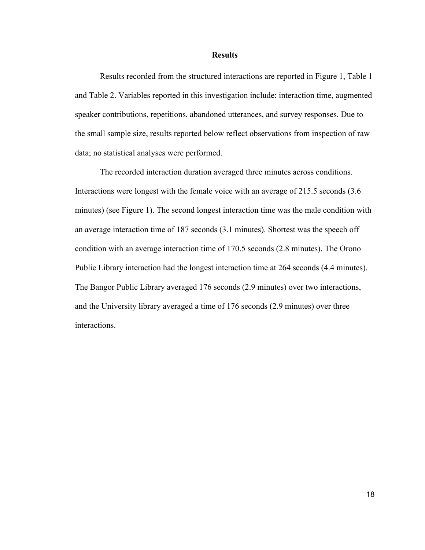#### **Results**

Results recorded from the structured interactions are reported in Figure 1, Table 1 and Table 2. Variables reported in this investigation include: interaction time, augmented speaker contributions, repetitions, abandoned utterances, and survey responses. Due to the small sample size, results reported below reflect observations from inspection of raw data; no statistical analyses were performed.

The recorded interaction duration averaged three minutes across conditions. Interactions were longest with the female voice with an average of 215.5 seconds (3.6 minutes) (see Figure 1). The second longest interaction time was the male condition with an average interaction time of 187 seconds (3.1 minutes). Shortest was the speech off condition with an average interaction time of 170.5 seconds (2.8 minutes). The Orono Public Library interaction had the longest interaction time at 264 seconds (4.4 minutes). The Bangor Public Library averaged 176 seconds (2.9 minutes) over two interactions, and the University library averaged a time of 176 seconds (2.9 minutes) over three interactions.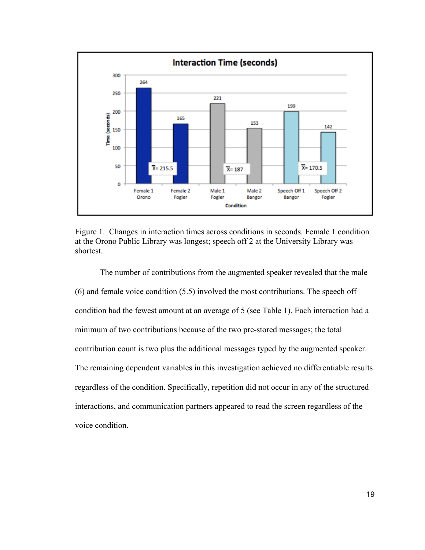

Figure 1. Changes in interaction times across conditions in seconds. Female 1 condition at the Orono Public Library was longest; speech off 2 at the University Library was shortest.

The number of contributions from the augmented speaker revealed that the male (6) and female voice condition (5.5) involved the most contributions. The speech off condition had the fewest amount at an average of 5 (see Table 1). Each interaction had a minimum of two contributions because of the two pre-stored messages; the total contribution count is two plus the additional messages typed by the augmented speaker. The remaining dependent variables in this investigation achieved no differentiable results regardless of the condition. Specifically, repetition did not occur in any of the structured interactions, and communication partners appeared to read the screen regardless of the voice condition.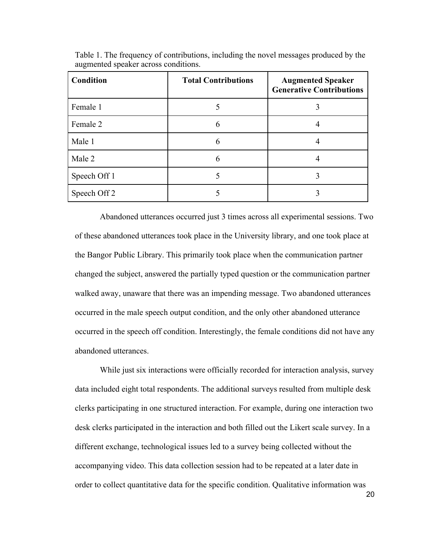| Condition    | <b>Total Contributions</b> | <b>Augmented Speaker</b><br><b>Generative Contributions</b> |
|--------------|----------------------------|-------------------------------------------------------------|
| Female 1     |                            |                                                             |
| Female 2     | 6                          |                                                             |
| Male 1       | 6                          |                                                             |
| Male 2       | 6                          |                                                             |
| Speech Off 1 |                            |                                                             |
| Speech Off 2 |                            |                                                             |

Table 1. The frequency of contributions, including the novel messages produced by the augmented speaker across conditions.

Abandoned utterances occurred just 3 times across all experimental sessions. Two of these abandoned utterances took place in the University library, and one took place at the Bangor Public Library. This primarily took place when the communication partner changed the subject, answered the partially typed question or the communication partner walked away, unaware that there was an impending message. Two abandoned utterances occurred in the male speech output condition, and the only other abandoned utterance occurred in the speech off condition. Interestingly, the female conditions did not have any abandoned utterances.

While just six interactions were officially recorded for interaction analysis, survey data included eight total respondents. The additional surveys resulted from multiple desk clerks participating in one structured interaction. For example, during one interaction two desk clerks participated in the interaction and both filled out the Likert scale survey. In a different exchange, technological issues led to a survey being collected without the accompanying video. This data collection session had to be repeated at a later date in order to collect quantitative data for the specific condition. Qualitative information was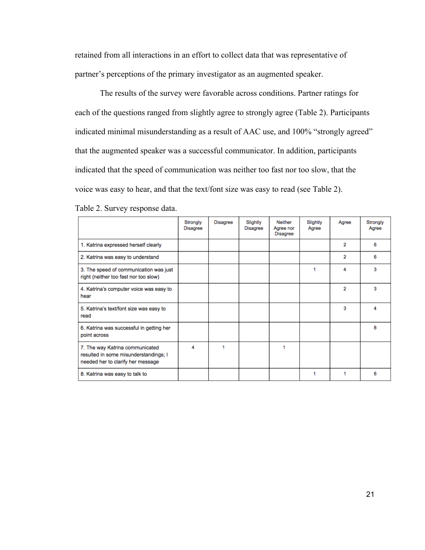retained from all interactions in an effort to collect data that was representative of partner's perceptions of the primary investigator as an augmented speaker.

The results of the survey were favorable across conditions. Partner ratings for each of the questions ranged from slightly agree to strongly agree (Table 2). Participants indicated minimal misunderstanding as a result of AAC use, and 100% "strongly agreed" that the augmented speaker was a successful communicator. In addition, participants indicated that the speed of communication was neither too fast nor too slow, that the voice was easy to hear, and that the text/font size was easy to read (see Table 2).

|                                                                                                               | Strongly<br><b>Disagree</b> | <b>Disagree</b> | Slightly<br><b>Disagree</b> | Neither<br>Agree nor<br><b>Disagree</b> | Slightly<br>Agree | Agree          | Strongly<br>Agree |
|---------------------------------------------------------------------------------------------------------------|-----------------------------|-----------------|-----------------------------|-----------------------------------------|-------------------|----------------|-------------------|
| 1. Katrina expressed herself clearly                                                                          |                             |                 |                             |                                         |                   | $\overline{2}$ | 6                 |
| 2. Katrina was easy to understand                                                                             |                             |                 |                             |                                         |                   | 2              | 6                 |
| 3. The speed of communication was just<br>right (neither too fast nor too slow)                               |                             |                 |                             |                                         | 1                 | 4              | 3                 |
| 4. Katrina's computer voice was easy to<br>hear                                                               |                             |                 |                             |                                         |                   | 2              | 3                 |
| 5. Katrina's text/font size was easy to<br>read                                                               |                             |                 |                             |                                         |                   | з              |                   |
| 6. Katrina was successful in getting her<br>point across                                                      |                             |                 |                             |                                         |                   |                | 8                 |
| 7. The way Katrina communicated<br>resulted in some misunderstandings; I<br>needed her to clarify her message | 4                           | 1               |                             | 1                                       |                   |                |                   |
| 8. Katrina was easy to talk to                                                                                |                             |                 |                             |                                         | 1                 |                | 6                 |

Table 2. Survey response data.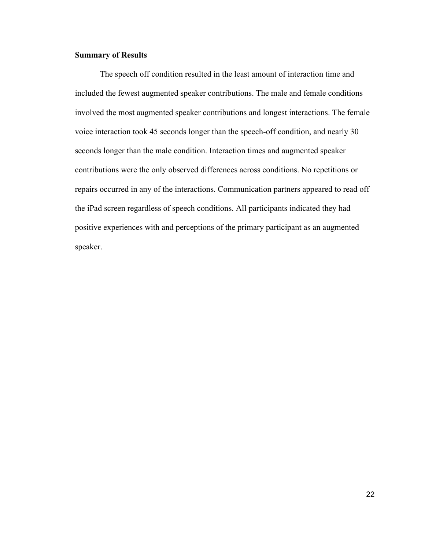#### **Summary of Results**

The speech off condition resulted in the least amount of interaction time and included the fewest augmented speaker contributions. The male and female conditions involved the most augmented speaker contributions and longest interactions. The female voice interaction took 45 seconds longer than the speech-off condition, and nearly 30 seconds longer than the male condition. Interaction times and augmented speaker contributions were the only observed differences across conditions. No repetitions or repairs occurred in any of the interactions. Communication partners appeared to read off the iPad screen regardless of speech conditions. All participants indicated they had positive experiences with and perceptions of the primary participant as an augmented speaker.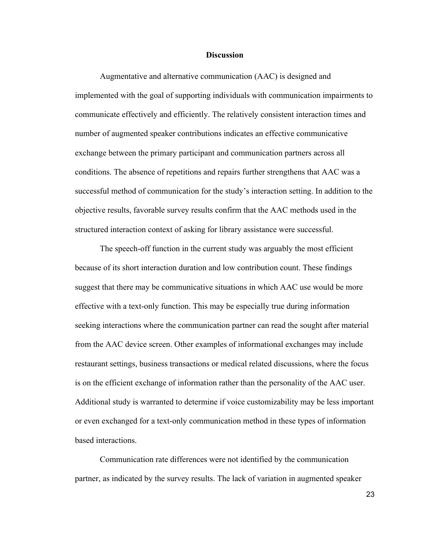#### **Discussion**

Augmentative and alternative communication (AAC) is designed and implemented with the goal of supporting individuals with communication impairments to communicate effectively and efficiently. The relatively consistent interaction times and number of augmented speaker contributions indicates an effective communicative exchange between the primary participant and communication partners across all conditions. The absence of repetitions and repairs further strengthens that AAC was a successful method of communication for the study's interaction setting. In addition to the objective results, favorable survey results confirm that the AAC methods used in the structured interaction context of asking for library assistance were successful.

The speech-off function in the current study was arguably the most efficient because of its short interaction duration and low contribution count. These findings suggest that there may be communicative situations in which AAC use would be more effective with a text-only function. This may be especially true during information seeking interactions where the communication partner can read the sought after material from the AAC device screen. Other examples of informational exchanges may include restaurant settings, business transactions or medical related discussions, where the focus is on the efficient exchange of information rather than the personality of the AAC user. Additional study is warranted to determine if voice customizability may be less important or even exchanged for a text-only communication method in these types of information based interactions.

Communication rate differences were not identified by the communication partner, as indicated by the survey results. The lack of variation in augmented speaker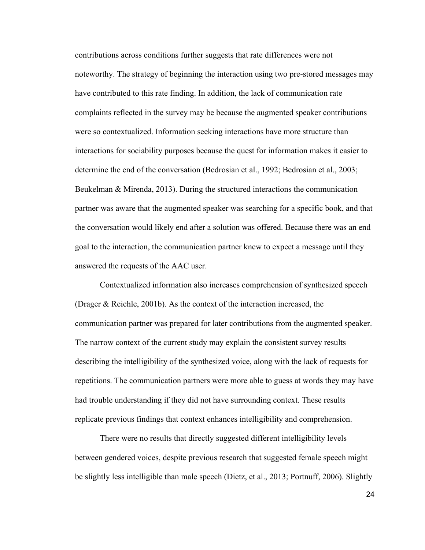contributions across conditions further suggests that rate differences were not noteworthy. The strategy of beginning the interaction using two pre-stored messages may have contributed to this rate finding. In addition, the lack of communication rate complaints reflected in the survey may be because the augmented speaker contributions were so contextualized. Information seeking interactions have more structure than interactions for sociability purposes because the quest for information makes it easier to determine the end of the conversation (Bedrosian et al., 1992; Bedrosian et al., 2003; Beukelman & Mirenda, 2013). During the structured interactions the communication partner was aware that the augmented speaker was searching for a specific book, and that the conversation would likely end after a solution was offered. Because there was an end goal to the interaction, the communication partner knew to expect a message until they answered the requests of the AAC user.

Contextualized information also increases comprehension of synthesized speech (Drager & Reichle, 2001b). As the context of the interaction increased, the communication partner was prepared for later contributions from the augmented speaker. The narrow context of the current study may explain the consistent survey results describing the intelligibility of the synthesized voice, along with the lack of requests for repetitions. The communication partners were more able to guess at words they may have had trouble understanding if they did not have surrounding context. These results replicate previous findings that context enhances intelligibility and comprehension.

There were no results that directly suggested different intelligibility levels between gendered voices, despite previous research that suggested female speech might be slightly less intelligible than male speech (Dietz, et al., 2013; Portnuff, 2006). Slightly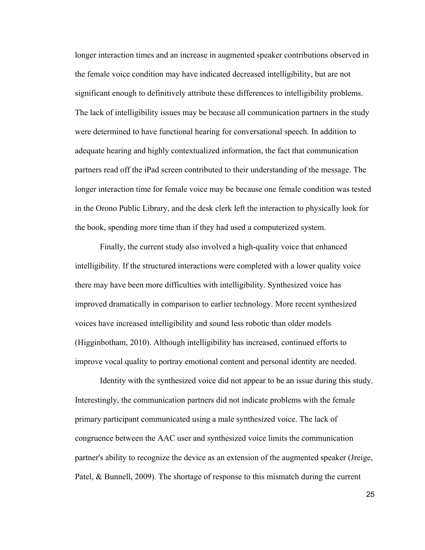longer interaction times and an increase in augmented speaker contributions observed in the female voice condition may have indicated decreased intelligibility, but are not significant enough to definitively attribute these differences to intelligibility problems. The lack of intelligibility issues may be because all communication partners in the study were determined to have functional hearing for conversational speech. In addition to adequate hearing and highly contextualized information, the fact that communication partners read off the iPad screen contributed to their understanding of the message. The longer interaction time for female voice may be because one female condition was tested in the Orono Public Library, and the desk clerk left the interaction to physically look for the book, spending more time than if they had used a computerized system.

Finally, the current study also involved a high-quality voice that enhanced intelligibility. If the structured interactions were completed with a lower quality voice there may have been more difficulties with intelligibility. Synthesized voice has improved dramatically in comparison to earlier technology. More recent synthesized voices have increased intelligibility and sound less robotic than older models (Higginbotham, 2010). Although intelligibility has increased, continued efforts to improve vocal quality to portray emotional content and personal identity are needed.

Identity with the synthesized voice did not appear to be an issue during this study. Interestingly, the communication partners did not indicate problems with the female primary participant communicated using a male synthesized voice. The lack of congruence between the AAC user and synthesized voice limits the communication partner's ability to recognize the device as an extension of the augmented speaker (Jreige, Patel, & Bunnell, 2009). The shortage of response to this mismatch during the current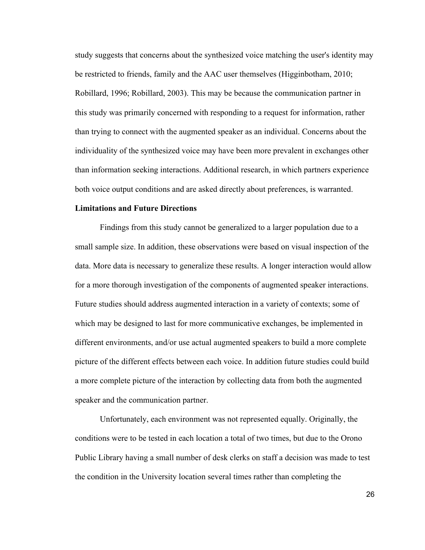study suggests that concerns about the synthesized voice matching the user's identity may be restricted to friends, family and the AAC user themselves (Higginbotham, 2010; Robillard, 1996; Robillard, 2003). This may be because the communication partner in this study was primarily concerned with responding to a request for information, rather than trying to connect with the augmented speaker as an individual. Concerns about the individuality of the synthesized voice may have been more prevalent in exchanges other than information seeking interactions. Additional research, in which partners experience both voice output conditions and are asked directly about preferences, is warranted.

#### **Limitations and Future Directions**

Findings from this study cannot be generalized to a larger population due to a small sample size. In addition, these observations were based on visual inspection of the data. More data is necessary to generalize these results. A longer interaction would allow for a more thorough investigation of the components of augmented speaker interactions. Future studies should address augmented interaction in a variety of contexts; some of which may be designed to last for more communicative exchanges, be implemented in different environments, and/or use actual augmented speakers to build a more complete picture of the different effects between each voice. In addition future studies could build a more complete picture of the interaction by collecting data from both the augmented speaker and the communication partner.

Unfortunately, each environment was not represented equally. Originally, the conditions were to be tested in each location a total of two times, but due to the Orono Public Library having a small number of desk clerks on staff a decision was made to test the condition in the University location several times rather than completing the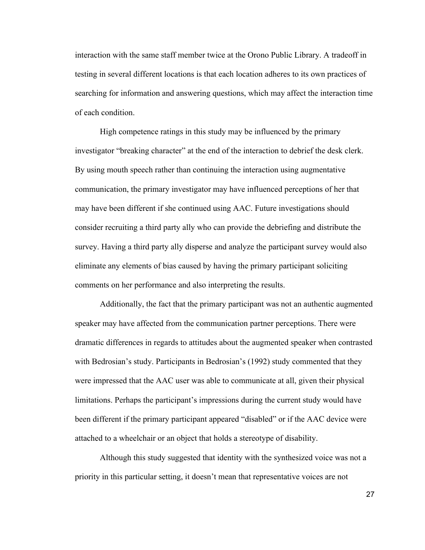interaction with the same staff member twice at the Orono Public Library. A tradeoff in testing in several different locations is that each location adheres to its own practices of searching for information and answering questions, which may affect the interaction time of each condition.

High competence ratings in this study may be influenced by the primary investigator "breaking character" at the end of the interaction to debrief the desk clerk. By using mouth speech rather than continuing the interaction using augmentative communication, the primary investigator may have influenced perceptions of her that may have been different if she continued using AAC. Future investigations should consider recruiting a third party ally who can provide the debriefing and distribute the survey. Having a third party ally disperse and analyze the participant survey would also eliminate any elements of bias caused by having the primary participant soliciting comments on her performance and also interpreting the results.

Additionally, the fact that the primary participant was not an authentic augmented speaker may have affected from the communication partner perceptions. There were dramatic differences in regards to attitudes about the augmented speaker when contrasted with Bedrosian's study. Participants in Bedrosian's (1992) study commented that they were impressed that the AAC user was able to communicate at all, given their physical limitations. Perhaps the participant's impressions during the current study would have been different if the primary participant appeared "disabled" or if the AAC device were attached to a wheelchair or an object that holds a stereotype of disability.

Although this study suggested that identity with the synthesized voice was not a priority in this particular setting, it doesn't mean that representative voices are not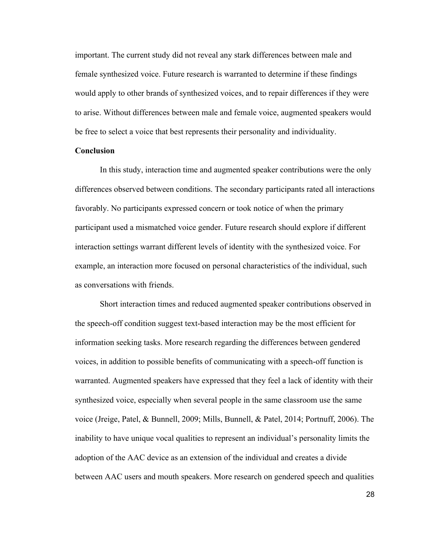important. The current study did not reveal any stark differences between male and female synthesized voice. Future research is warranted to determine if these findings would apply to other brands of synthesized voices, and to repair differences if they were to arise. Without differences between male and female voice, augmented speakers would be free to select a voice that best represents their personality and individuality.

#### **Conclusion**

In this study, interaction time and augmented speaker contributions were the only differences observed between conditions. The secondary participants rated all interactions favorably. No participants expressed concern or took notice of when the primary participant used a mismatched voice gender. Future research should explore if different interaction settings warrant different levels of identity with the synthesized voice. For example, an interaction more focused on personal characteristics of the individual, such as conversations with friends.

Short interaction times and reduced augmented speaker contributions observed in the speech-off condition suggest text-based interaction may be the most efficient for information seeking tasks. More research regarding the differences between gendered voices, in addition to possible benefits of communicating with a speech-off function is warranted. Augmented speakers have expressed that they feel a lack of identity with their synthesized voice, especially when several people in the same classroom use the same voice (Jreige, Patel, & Bunnell, 2009; Mills, Bunnell, & Patel, 2014; Portnuff, 2006). The inability to have unique vocal qualities to represent an individual's personality limits the adoption of the AAC device as an extension of the individual and creates a divide between AAC users and mouth speakers. More research on gendered speech and qualities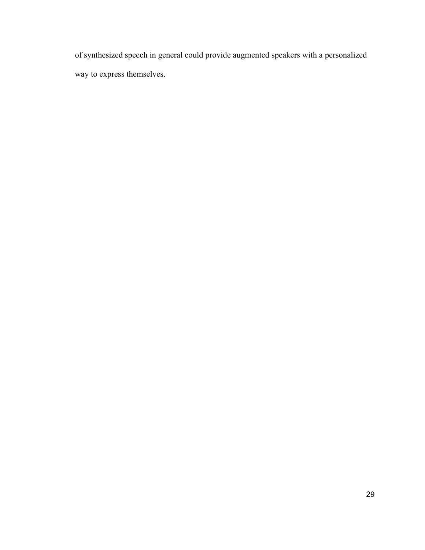of synthesized speech in general could provide augmented speakers with a personalized way to express themselves.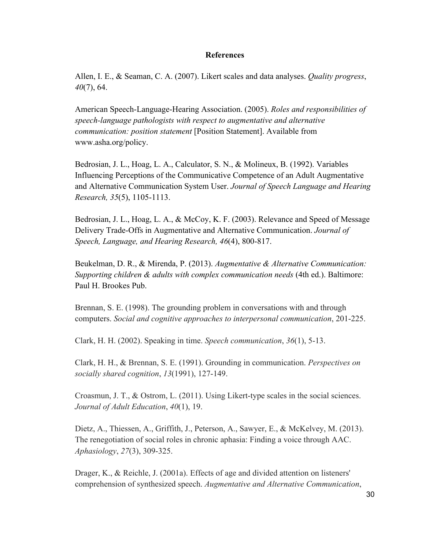## **References**

Allen, I. E., & Seaman, C. A. (2007). Likert scales and data analyses. *Quality progress*, *40*(7), 64.

American Speech-Language-Hearing Association. (2005). *Roles and responsibilities of speech-language pathologists with respect to augmentative and alternative communication: position statement* [Position Statement]. Available from www.asha.org/policy.

Bedrosian, J. L., Hoag, L. A., Calculator, S. N., & Molineux, B. (1992). Variables Influencing Perceptions of the Communicative Competence of an Adult Augmentative and Alternative Communication System User. *Journal of Speech Language and Hearing Research, 35*(5), 1105-1113.

Bedrosian, J. L., Hoag, L. A., & McCoy, K. F. (2003). Relevance and Speed of Message Delivery Trade-Offs in Augmentative and Alternative Communication. *Journal of Speech, Language, and Hearing Research, 46*(4), 800-817.

Beukelman, D. R., & Mirenda, P. (2013). *Augmentative & Alternative Communication: Supporting children & adults with complex communication needs* (4th ed.). Baltimore: Paul H. Brookes Pub.

Brennan, S. E. (1998). The grounding problem in conversations with and through computers. *Social and cognitive approaches to interpersonal communication*, 201-225.

Clark, H. H. (2002). Speaking in time. *Speech communication*, *36*(1), 5-13.

Clark, H. H., & Brennan, S. E. (1991). Grounding in communication. *Perspectives on socially shared cognition*, *13*(1991), 127-149.

Croasmun, J. T., & Ostrom, L. (2011). Using Likert-type scales in the social sciences. *Journal of Adult Education*, *40*(1), 19.

Dietz, A., Thiessen, A., Griffith, J., Peterson, A., Sawyer, E., & McKelvey, M. (2013). The renegotiation of social roles in chronic aphasia: Finding a voice through AAC. *Aphasiology*, *27*(3), 309-325.

Drager, K., & Reichle, J. (2001a). Effects of age and divided attention on listeners' comprehension of synthesized speech. *Augmentative and Alternative Communication*,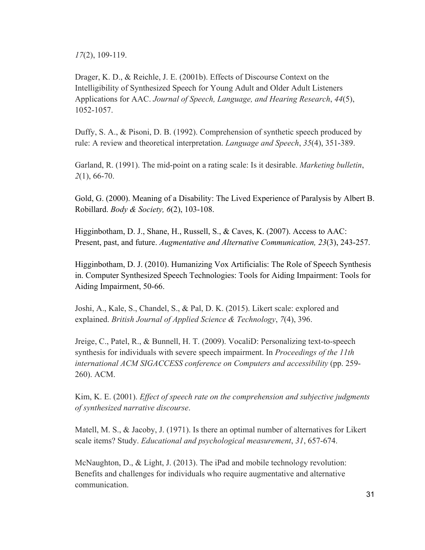*17*(2), 109-119.

Drager, K. D., & Reichle, J. E. (2001b). Effects of Discourse Context on the Intelligibility of Synthesized Speech for Young Adult and Older Adult Listeners Applications for AAC. *Journal of Speech, Language, and Hearing Research*, *44*(5), 1052-1057.

Duffy, S. A., & Pisoni, D. B. (1992). Comprehension of synthetic speech produced by rule: A review and theoretical interpretation. *Language and Speech*, *35*(4), 351-389.

Garland, R. (1991). The mid-point on a rating scale: Is it desirable. *Marketing bulletin*, *2*(1), 66-70.

Gold, G. (2000). Meaning of a Disability: The Lived Experience of Paralysis by Albert B. Robillard. *Body & Society, 6*(2), 103-108.

Higginbotham, D. J., Shane, H., Russell, S., & Caves, K. (2007). Access to AAC: Present, past, and future. *Augmentative and Alternative Communication, 23*(3), 243-257.

Higginbotham, D. J. (2010). Humanizing Vox Artificialis: The Role of Speech Synthesis in. Computer Synthesized Speech Technologies: Tools for Aiding Impairment: Tools for Aiding Impairment, 50-66.

Joshi, A., Kale, S., Chandel, S., & Pal, D. K. (2015). Likert scale: explored and explained. *British Journal of Applied Science & Technology*, *7*(4), 396.

Jreige, C., Patel, R., & Bunnell, H. T. (2009). VocaliD: Personalizing text-to-speech synthesis for individuals with severe speech impairment. In *Proceedings of the 11th international ACM SIGACCESS conference on Computers and accessibility* (pp. 259- 260). ACM.

Kim, K. E. (2001). *Effect of speech rate on the comprehension and subjective judgments of synthesized narrative discourse*.

Matell, M. S., & Jacoby, J. (1971). Is there an optimal number of alternatives for Likert scale items? Study. *Educational and psychological measurement*, *31*, 657-674.

McNaughton, D., & Light, J. (2013). The iPad and mobile technology revolution: Benefits and challenges for individuals who require augmentative and alternative communication.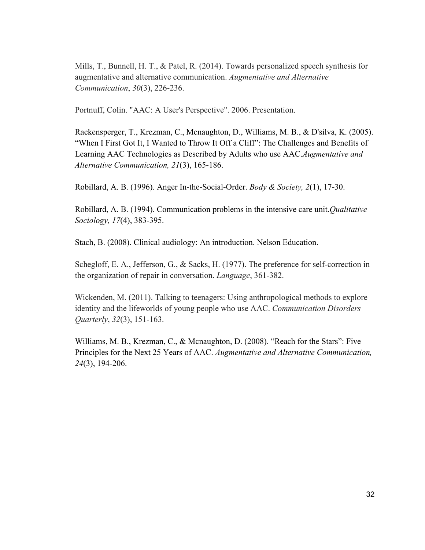Mills, T., Bunnell, H. T., & Patel, R. (2014). Towards personalized speech synthesis for augmentative and alternative communication. *Augmentative and Alternative Communication*, *30*(3), 226-236.

Portnuff, Colin. "AAC: A User's Perspective". 2006. Presentation.

Rackensperger, T., Krezman, C., Mcnaughton, D., Williams, M. B., & D'silva, K. (2005). "When I First Got It, I Wanted to Throw It Off a Cliff": The Challenges and Benefits of Learning AAC Technologies as Described by Adults who use AAC.*Augmentative and Alternative Communication, 21*(3), 165-186.

Robillard, A. B. (1996). Anger In-the-Social-Order. *Body & Society, 2*(1), 17-30.

Robillard, A. B. (1994). Communication problems in the intensive care unit.*Qualitative Sociology, 17*(4), 383-395.

Stach, B. (2008). Clinical audiology: An introduction. Nelson Education.

Schegloff, E. A., Jefferson, G., & Sacks, H. (1977). The preference for self-correction in the organization of repair in conversation. *Language*, 361-382.

Wickenden, M. (2011). Talking to teenagers: Using anthropological methods to explore identity and the lifeworlds of young people who use AAC. *Communication Disorders Quarterly*, *32*(3), 151-163.

Williams, M. B., Krezman, C., & Mcnaughton, D. (2008). "Reach for the Stars": Five Principles for the Next 25 Years of AAC. *Augmentative and Alternative Communication, 24*(3), 194-206.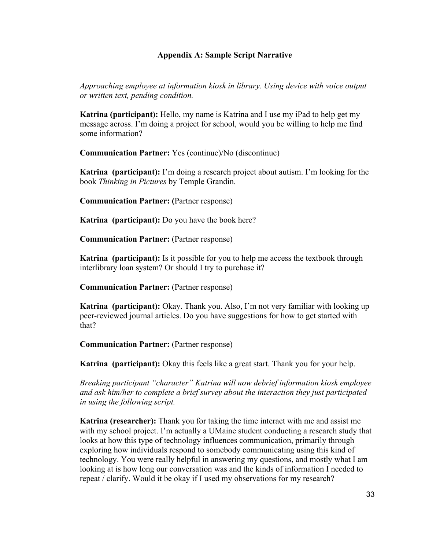## **Appendix A: Sample Script Narrative**

*Approaching employee at information kiosk in library. Using device with voice output or written text, pending condition.* 

**Katrina (participant):** Hello, my name is Katrina and I use my iPad to help get my message across. I'm doing a project for school, would you be willing to help me find some information?

**Communication Partner:** Yes (continue)/No (discontinue)

**Katrina (participant):** I'm doing a research project about autism. I'm looking for the book *Thinking in Pictures* by Temple Grandin.

**Communication Partner: (**Partner response)

**Katrina (participant):** Do you have the book here?

**Communication Partner:** (Partner response)

**Katrina (participant):** Is it possible for you to help me access the textbook through interlibrary loan system? Or should I try to purchase it?

**Communication Partner:** (Partner response)

**Katrina (participant):** Okay. Thank you. Also, I'm not very familiar with looking up peer-reviewed journal articles. Do you have suggestions for how to get started with that?

**Communication Partner:** (Partner response)

**Katrina (participant):** Okay this feels like a great start. Thank you for your help.

*Breaking participant "character" Katrina will now debrief information kiosk employee and ask him/her to complete a brief survey about the interaction they just participated in using the following script.* 

**Katrina (researcher):** Thank you for taking the time interact with me and assist me with my school project. I'm actually a UMaine student conducting a research study that looks at how this type of technology influences communication, primarily through exploring how individuals respond to somebody communicating using this kind of technology. You were really helpful in answering my questions, and mostly what I am looking at is how long our conversation was and the kinds of information I needed to repeat / clarify. Would it be okay if I used my observations for my research?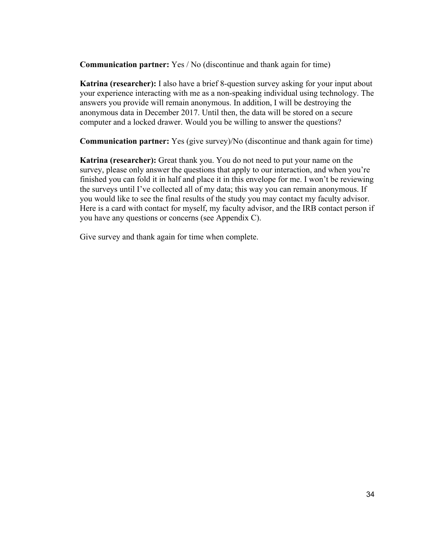**Communication partner:** Yes / No (discontinue and thank again for time)

**Katrina (researcher):** I also have a brief 8-question survey asking for your input about your experience interacting with me as a non-speaking individual using technology. The answers you provide will remain anonymous. In addition, I will be destroying the anonymous data in December 2017. Until then, the data will be stored on a secure computer and a locked drawer. Would you be willing to answer the questions?

**Communication partner:** Yes (give survey)/No (discontinue and thank again for time)

**Katrina (researcher):** Great thank you. You do not need to put your name on the survey, please only answer the questions that apply to our interaction, and when you're finished you can fold it in half and place it in this envelope for me. I won't be reviewing the surveys until I've collected all of my data; this way you can remain anonymous. If you would like to see the final results of the study you may contact my faculty advisor. Here is a card with contact for myself, my faculty advisor, and the IRB contact person if you have any questions or concerns (see Appendix C).

Give survey and thank again for time when complete.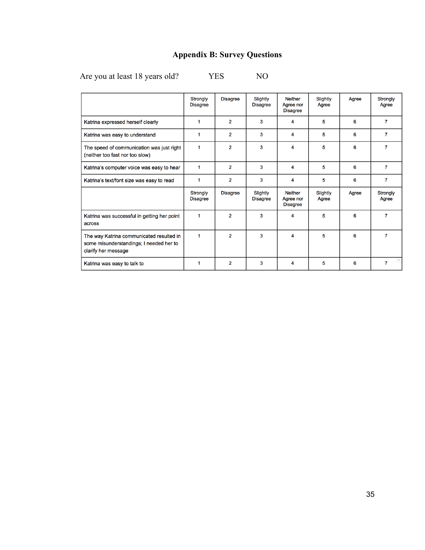# **Appendix B: Survey Questions**

Are you at least 18 years old? YES NO

|                                                                                                            | <b>Strongly</b><br><b>Disagree</b> | <b>Disagree</b> | Slightly<br><b>Disagree</b> | <b>Neither</b><br>Agree nor<br><b>Disagree</b> | Slightly<br>Agree | Agree | <b>Strongly</b><br>Agree |
|------------------------------------------------------------------------------------------------------------|------------------------------------|-----------------|-----------------------------|------------------------------------------------|-------------------|-------|--------------------------|
| Katrina expressed herself clearly                                                                          | ٠                                  | $\overline{2}$  | 3                           | 4                                              | 5                 | 6     | $\overline{7}$           |
| Katrina was easy to understand                                                                             | 1                                  | $\overline{2}$  | 3                           | 4                                              | 5                 | 6     | 7                        |
| The speed of communication was just right<br>(neither too fast nor too slow)                               | 1                                  | $\overline{2}$  | 3                           | 4                                              | 5                 | 6     | 7                        |
| Katrina's computer voice was easy to hear                                                                  |                                    | $\overline{2}$  | 3                           | 4                                              | 5                 | 6     | $\overline{7}$           |
| Katrina's text/font size was easy to read                                                                  |                                    | $\overline{2}$  | 3                           | 4                                              | 5                 | 6     | 7                        |
|                                                                                                            | <b>Strongly</b><br><b>Disagree</b> | <b>Disagree</b> | Slightly<br><b>Disagree</b> | <b>Neither</b><br>Agree nor<br><b>Disagree</b> | Slightly<br>Agree | Agree | <b>Strongly</b><br>Agree |
| Katrina was successful in getting her point<br>across                                                      | 1                                  | $\overline{2}$  | 3                           | 4                                              | 5                 | 6     | 7                        |
| The way Katrina communicated resulted in<br>some misunderstandings; I needed her to<br>clarify her message | 1                                  | $\overline{2}$  | 3                           | 4                                              | 5                 | 6     | 7                        |
| Katrina was easy to talk to                                                                                |                                    | $\overline{2}$  | 3                           | 4                                              | 5                 | 6     | $\overline{7}$           |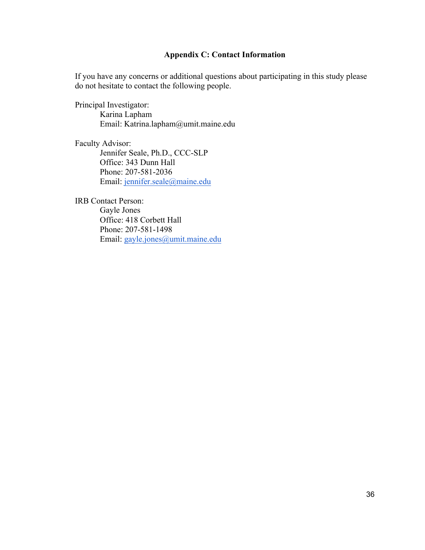## **Appendix C: Contact Information**

If you have any concerns or additional questions about participating in this study please do not hesitate to contact the following people.

Principal Investigator: Karina Lapham Email: Katrina.lapham@umit.maine.edu

Faculty Advisor:

Jennifer Seale, Ph.D., CCC-SLP Office: 343 Dunn Hall Phone: 207-581-2036 Email: jennifer.seale@maine.edu

IRB Contact Person: Gayle Jones Office: 418 Corbett Hall Phone: 207-581-1498 Email: gayle.jones@umit.maine.edu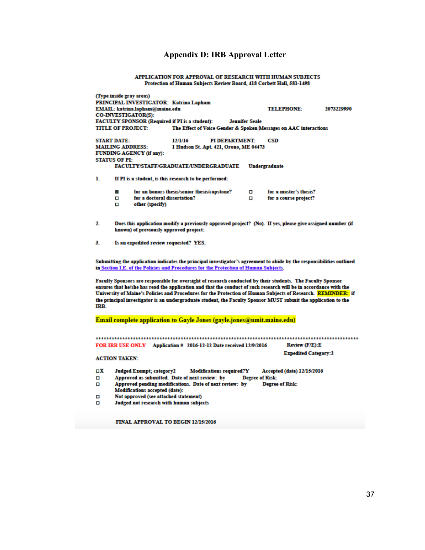## **Appendix D: IRB Approval Letter**

APPLICATION FOR APPROVAL OF RESEARCH WITH HUMAN SUBJECTS Protection of Human Subjects Review Board, 418 Corbett Hall, 581-1498

|                              | (Type inside gray areas)<br>PRINCIPAL INVESTIGATOR: Katrina Lapham<br>EMAIL: katrina.lapham@maine.edu<br><b>CO-INVESTIGATOR(S):</b><br>FACULTY SPONSOR (Required if PI is a student):<br><b>TITLE OF PROJECT:</b>                                                                                                                                                                                                                                                  |                                                                              |                                 | <b>Jennifer Seale</b>  | <b>TELEPHONE:</b><br>The Effect of Voice Gender & Spoken Messages on AAC interactions | 2073229990 |  |  |  |
|------------------------------|--------------------------------------------------------------------------------------------------------------------------------------------------------------------------------------------------------------------------------------------------------------------------------------------------------------------------------------------------------------------------------------------------------------------------------------------------------------------|------------------------------------------------------------------------------|---------------------------------|------------------------|---------------------------------------------------------------------------------------|------------|--|--|--|
|                              | <b>START DATE:</b><br><b>MAILING ADDRESS:</b><br><b>FUNDING AGENCY (if any):</b><br><b>STATUS OF PI:</b>                                                                                                                                                                                                                                                                                                                                                           | CSD<br>1 Hudson St. Apt. 421, Orono, ME 04473                                |                                 |                        |                                                                                       |            |  |  |  |
|                              | FACULTY/STAFF/GRADUATE/UNDERGRADUATE                                                                                                                                                                                                                                                                                                                                                                                                                               |                                                                              |                                 |                        | Undergraduate                                                                         |            |  |  |  |
| ı.                           | If PI is a student, is this research to be performed:                                                                                                                                                                                                                                                                                                                                                                                                              |                                                                              |                                 |                        |                                                                                       |            |  |  |  |
|                              | O.<br>□<br>other (specify)<br>□                                                                                                                                                                                                                                                                                                                                                                                                                                    | for an honors thesis/senior thesis/capstone?<br>for a doctoral dissertation? |                                 | о<br>о                 | for a master's thesis?<br>for a course project?                                       |            |  |  |  |
| 2.                           | Does this application modify a previously approved project? (No). If yes, please give assigned number (if<br>known) of previously approved project:                                                                                                                                                                                                                                                                                                                |                                                                              |                                 |                        |                                                                                       |            |  |  |  |
| 3.                           | Is an expedited review requested? YES.                                                                                                                                                                                                                                                                                                                                                                                                                             |                                                                              |                                 |                        |                                                                                       |            |  |  |  |
|                              | Submitting the application indicates the principal investigator's agreement to abide by the responsibilities outlined<br>in Section I.E. of the Policies and Procedures for the Protection of Human Subjects.                                                                                                                                                                                                                                                      |                                                                              |                                 |                        |                                                                                       |            |  |  |  |
| IRB.                         | Faculty Sponsors are responsible for oversight of research conducted by their students. The Faculty Sponsor<br>ensures that he/she has read the application and that the conduct of such research will be in accordance with the<br>University of Maine's Policies and Procedures for the Protection of Human Subjects of Research. REMINDER: if<br>the principal investigator is an undergraduate student, the Faculty Sponsor MUST submit the application to the |                                                                              |                                 |                        |                                                                                       |            |  |  |  |
|                              | Email complete application to Gayle Jones (gayle.jones@umit.maine.edu)                                                                                                                                                                                                                                                                                                                                                                                             |                                                                              |                                 |                        |                                                                                       |            |  |  |  |
|                              | FOR IRB USE ONLY Application # 2016-12-12 Date received 12/9/2016                                                                                                                                                                                                                                                                                                                                                                                                  |                                                                              |                                 |                        | Review (F/E):E                                                                        |            |  |  |  |
|                              | <b>ACTION TAKEN:</b>                                                                                                                                                                                                                                                                                                                                                                                                                                               |                                                                              |                                 |                        | <b>Expedited Category:2</b>                                                           |            |  |  |  |
| $\Box X$<br>О<br>о<br>о<br>α | <b>Judged Exempt; category2</b><br>Approved as submitted. Date of next review: by<br>Approved pending modifications. Date of next review: by<br>Modifications accepted (date):<br>Not approved (see attached statement)<br>Judged not research with human subjects                                                                                                                                                                                                 |                                                                              | <b>Modifications required?Y</b> | <b>Degree of Risk:</b> | Accepted (date) 12/15/2016<br><b>Degree of Risk:</b>                                  |            |  |  |  |

FINAL APPROVAL TO BEGIN 12/15/2016